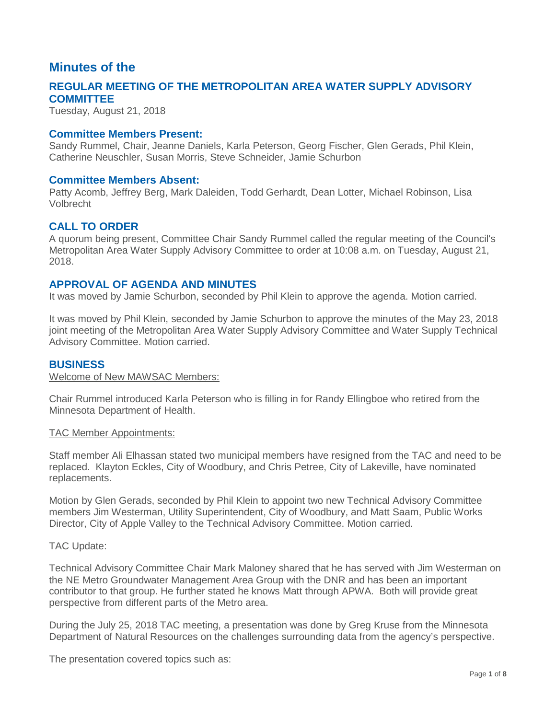### **Minutes of the**

### **REGULAR MEETING OF THE METROPOLITAN AREA WATER SUPPLY ADVISORY COMMITTEE**

Tuesday, August 21, 2018

#### **Committee Members Present:**

Sandy Rummel, Chair, Jeanne Daniels, Karla Peterson, Georg Fischer, Glen Gerads, Phil Klein, Catherine Neuschler, Susan Morris, Steve Schneider, Jamie Schurbon

#### **Committee Members Absent:**

Patty Acomb, Jeffrey Berg, Mark Daleiden, Todd Gerhardt, Dean Lotter, Michael Robinson, Lisa Volbrecht

#### **CALL TO ORDER**

A quorum being present, Committee Chair Sandy Rummel called the regular meeting of the Council's Metropolitan Area Water Supply Advisory Committee to order at 10:08 a.m. on Tuesday, August 21, 2018.

#### **APPROVAL OF AGENDA AND MINUTES**

It was moved by Jamie Schurbon, seconded by Phil Klein to approve the agenda. Motion carried.

It was moved by Phil Klein, seconded by Jamie Schurbon to approve the minutes of the May 23, 2018 joint meeting of the Metropolitan Area Water Supply Advisory Committee and Water Supply Technical Advisory Committee. Motion carried.

#### **BUSINESS**

Welcome of New MAWSAC Members:

Chair Rummel introduced Karla Peterson who is filling in for Randy Ellingboe who retired from the Minnesota Department of Health.

#### TAC Member Appointments:

Staff member Ali Elhassan stated two municipal members have resigned from the TAC and need to be replaced. Klayton Eckles, City of Woodbury, and Chris Petree, City of Lakeville, have nominated replacements.

Motion by Glen Gerads, seconded by Phil Klein to appoint two new Technical Advisory Committee members Jim Westerman, Utility Superintendent, City of Woodbury, and Matt Saam, Public Works Director, City of Apple Valley to the Technical Advisory Committee. Motion carried.

#### TAC Update:

Technical Advisory Committee Chair Mark Maloney shared that he has served with Jim Westerman on the NE Metro Groundwater Management Area Group with the DNR and has been an important contributor to that group. He further stated he knows Matt through APWA. Both will provide great perspective from different parts of the Metro area.

During the July 25, 2018 TAC meeting, a presentation was done by Greg Kruse from the Minnesota Department of Natural Resources on the challenges surrounding data from the agency's perspective.

The presentation covered topics such as: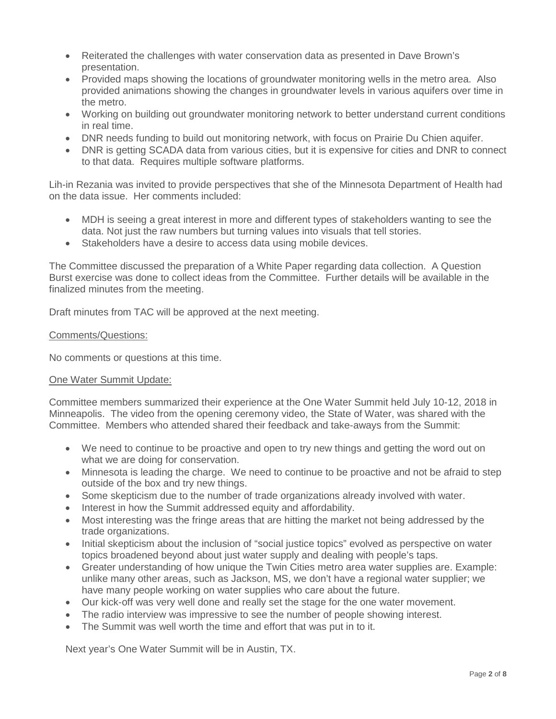- Reiterated the challenges with water conservation data as presented in Dave Brown's presentation.
- Provided maps showing the locations of groundwater monitoring wells in the metro area. Also provided animations showing the changes in groundwater levels in various aquifers over time in the metro.
- Working on building out groundwater monitoring network to better understand current conditions in real time.
- DNR needs funding to build out monitoring network, with focus on Prairie Du Chien aquifer.
- DNR is getting SCADA data from various cities, but it is expensive for cities and DNR to connect to that data. Requires multiple software platforms.

Lih-in Rezania was invited to provide perspectives that she of the Minnesota Department of Health had on the data issue. Her comments included:

- MDH is seeing a great interest in more and different types of stakeholders wanting to see the data. Not just the raw numbers but turning values into visuals that tell stories.
- Stakeholders have a desire to access data using mobile devices.

The Committee discussed the preparation of a White Paper regarding data collection. A Question Burst exercise was done to collect ideas from the Committee. Further details will be available in the finalized minutes from the meeting.

Draft minutes from TAC will be approved at the next meeting.

#### Comments/Questions:

No comments or questions at this time.

#### One Water Summit Update:

Committee members summarized their experience at the One Water Summit held July 10-12, 2018 in Minneapolis. The video from the opening ceremony video, the State of Water, was shared with the Committee. Members who attended shared their feedback and take-aways from the Summit:

- We need to continue to be proactive and open to try new things and getting the word out on what we are doing for conservation.
- Minnesota is leading the charge. We need to continue to be proactive and not be afraid to step outside of the box and try new things.
- Some skepticism due to the number of trade organizations already involved with water.
- Interest in how the Summit addressed equity and affordability.
- Most interesting was the fringe areas that are hitting the market not being addressed by the trade organizations.
- Initial skepticism about the inclusion of "social justice topics" evolved as perspective on water topics broadened beyond about just water supply and dealing with people's taps.
- Greater understanding of how unique the Twin Cities metro area water supplies are. Example: unlike many other areas, such as Jackson, MS, we don't have a regional water supplier; we have many people working on water supplies who care about the future.
- Our kick-off was very well done and really set the stage for the one water movement.
- The radio interview was impressive to see the number of people showing interest.
- The Summit was well worth the time and effort that was put in to it.

Next year's One Water Summit will be in Austin, TX.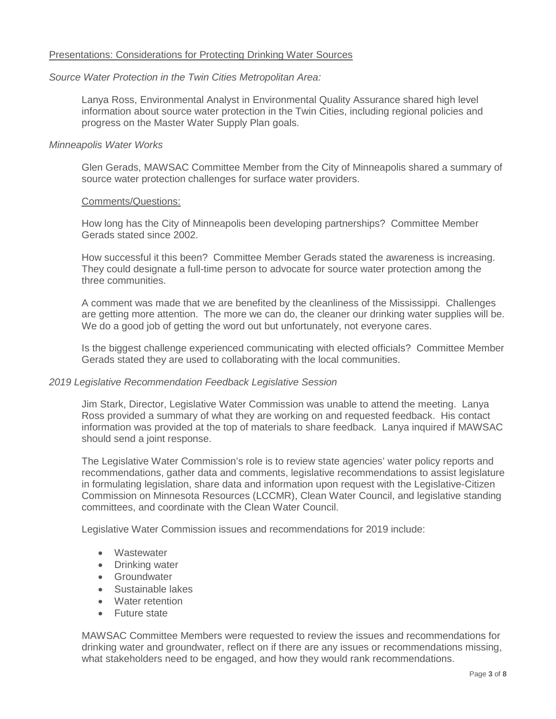#### Presentations: Considerations for Protecting Drinking Water Sources

#### *Source Water Protection in the Twin Cities Metropolitan Area:*

Lanya Ross, Environmental Analyst in Environmental Quality Assurance shared high level information about source water protection in the Twin Cities, including regional policies and progress on the Master Water Supply Plan goals.

#### *Minneapolis Water Works*

Glen Gerads, MAWSAC Committee Member from the City of Minneapolis shared a summary of source water protection challenges for surface water providers.

#### Comments/Questions:

How long has the City of Minneapolis been developing partnerships? Committee Member Gerads stated since 2002.

How successful it this been? Committee Member Gerads stated the awareness is increasing. They could designate a full-time person to advocate for source water protection among the three communities.

A comment was made that we are benefited by the cleanliness of the Mississippi. Challenges are getting more attention. The more we can do, the cleaner our drinking water supplies will be. We do a good job of getting the word out but unfortunately, not everyone cares.

Is the biggest challenge experienced communicating with elected officials? Committee Member Gerads stated they are used to collaborating with the local communities.

#### *2019 Legislative Recommendation Feedback Legislative Session*

Jim Stark, Director, Legislative Water Commission was unable to attend the meeting. Lanya Ross provided a summary of what they are working on and requested feedback. His contact information was provided at the top of materials to share feedback. Lanya inquired if MAWSAC should send a joint response.

The Legislative Water Commission's role is to review state agencies' water policy reports and recommendations, gather data and comments, legislative recommendations to assist legislature in formulating legislation, share data and information upon request with the Legislative-Citizen Commission on Minnesota Resources (LCCMR), Clean Water Council, and legislative standing committees, and coordinate with the Clean Water Council.

Legislative Water Commission issues and recommendations for 2019 include:

- Wastewater
- Drinking water
- Groundwater
- Sustainable lakes
- Water retention
- Future state

MAWSAC Committee Members were requested to review the issues and recommendations for drinking water and groundwater, reflect on if there are any issues or recommendations missing, what stakeholders need to be engaged, and how they would rank recommendations.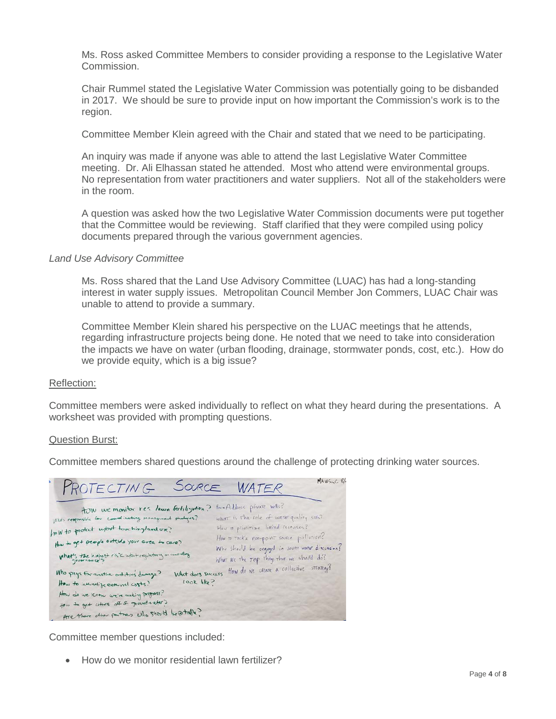Ms. Ross asked Committee Members to consider providing a response to the Legislative Water Commission.

Chair Rummel stated the Legislative Water Commission was potentially going to be disbanded in 2017. We should be sure to provide input on how important the Commission's work is to the region.

Committee Member Klein agreed with the Chair and stated that we need to be participating.

An inquiry was made if anyone was able to attend the last Legislative Water Committee meeting. Dr. Ali Elhassan stated he attended. Most who attend were environmental groups. No representation from water practitioners and water suppliers. Not all of the stakeholders were in the room.

A question was asked how the two Legislative Water Commission documents were put together that the Committee would be reviewing. Staff clarified that they were compiled using policy documents prepared through the various government agencies.

#### *Land Use Advisory Committee*

Ms. Ross shared that the Land Use Advisory Committee (LUAC) has had a long-standing interest in water supply issues. Metropolitan Council Member Jon Commers, LUAC Chair was unable to attend to provide a summary.

Committee Member Klein shared his perspective on the LUAC meetings that he attends, regarding infrastructure projects being done. He noted that we need to take into consideration the impacts we have on water (urban flooding, drainage, stormwater ponds, cost, etc.). How do we provide equity, which is a big issue?

#### Reflection:

Committee members were asked individually to reflect on what they heard during the presentations. A worksheet was provided with prompting questions.

#### Question Burst:

Committee members shared questions around the challenge of protecting drinking water sources.



Committee member questions included:

• How do we monitor residential lawn fertilizer?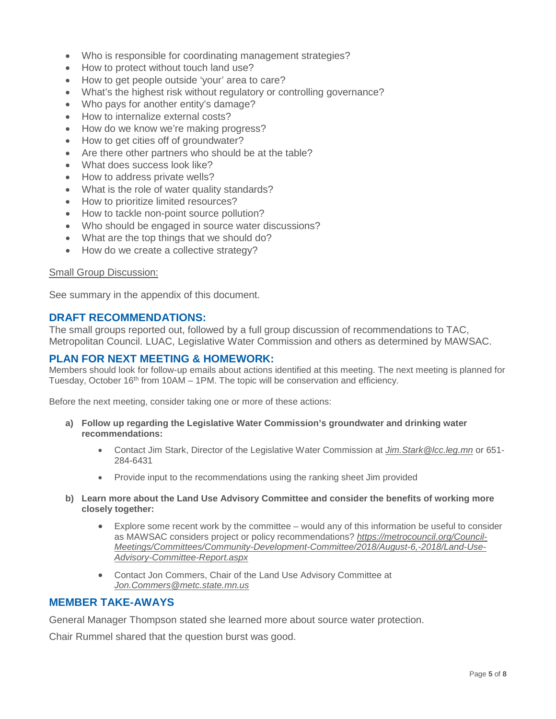- Who is responsible for coordinating management strategies?
- How to protect without touch land use?
- How to get people outside 'your' area to care?
- What's the highest risk without regulatory or controlling governance?
- Who pays for another entity's damage?
- How to internalize external costs?
- How do we know we're making progress?
- How to get cities off of groundwater?
- Are there other partners who should be at the table?
- What does success look like?
- How to address private wells?
- What is the role of water quality standards?
- How to prioritize limited resources?
- How to tackle non-point source pollution?
- Who should be engaged in source water discussions?
- What are the top things that we should do?
- How do we create a collective strategy?

#### Small Group Discussion:

See summary in the appendix of this document.

#### **DRAFT RECOMMENDATIONS:**

The small groups reported out, followed by a full group discussion of recommendations to TAC, Metropolitan Council. LUAC, Legislative Water Commission and others as determined by MAWSAC.

#### **PLAN FOR NEXT MEETING & HOMEWORK:**

Members should look for follow-up emails about actions identified at this meeting. The next meeting is planned for Tuesday, October 16th from 10AM – 1PM. The topic will be conservation and efficiency.

Before the next meeting, consider taking one or more of these actions:

- **a) Follow up regarding the Legislative Water Commission's groundwater and drinking water recommendations:**
	- Contact Jim Stark, Director of the Legislative Water Commission at *[Jim.Stark@lcc.leg.mn](mailto:Jim.Stark@lcc.leg.mn)* or 651- 284-6431
	- Provide input to the recommendations using the ranking sheet Jim provided
- **b) Learn more about the Land Use Advisory Committee and consider the benefits of working more closely together:**
	- Explore some recent work by the committee would any of this information be useful to consider as MAWSAC considers project or policy recommendations? *[https://metrocouncil.org/Council-](https://metrocouncil.org/Council-Meetings/Committees/Community-Development-Committee/2018/August-6,-2018/Land-Use-Advisory-Committee-Report.aspx)[Meetings/Committees/Community-Development-Committee/2018/August-6,-2018/Land-Use-](https://metrocouncil.org/Council-Meetings/Committees/Community-Development-Committee/2018/August-6,-2018/Land-Use-Advisory-Committee-Report.aspx)[Advisory-Committee-Report.aspx](https://metrocouncil.org/Council-Meetings/Committees/Community-Development-Committee/2018/August-6,-2018/Land-Use-Advisory-Committee-Report.aspx)*
	- Contact Jon Commers, Chair of the Land Use Advisory Committee at *[Jon.Commers@metc.state.mn.us](mailto:Jon.Commers@metc.state.mn.us)*

#### **MEMBER TAKE-AWAYS**

General Manager Thompson stated she learned more about source water protection.

Chair Rummel shared that the question burst was good.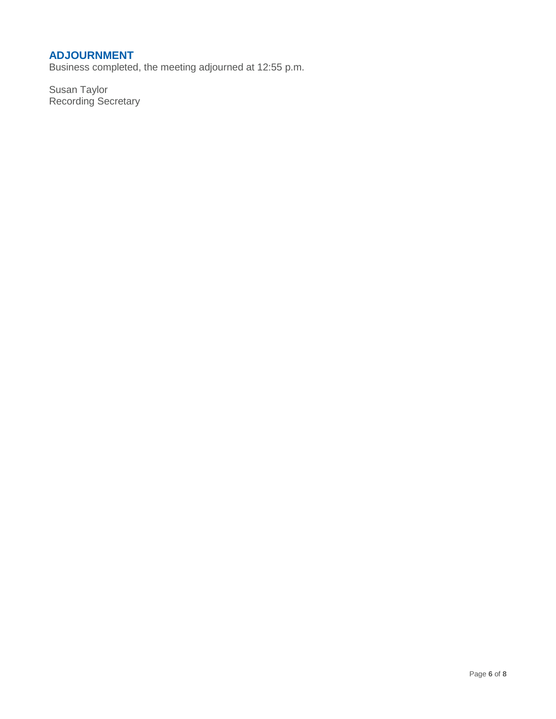### **ADJOURNMENT**

Business completed, the meeting adjourned at 12:55 p.m.

Susan Taylor Recording Secretary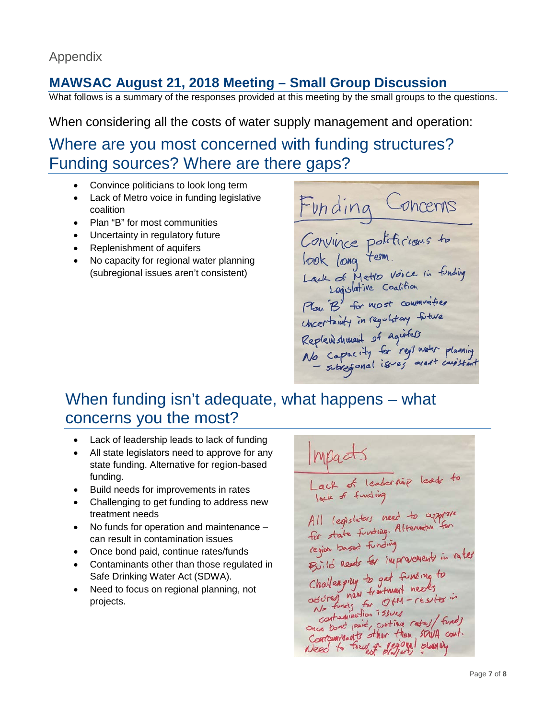## **MAWSAC August 21, 2018 Meeting – Small Group Discussion**

What follows is a summary of the responses provided at this meeting by the small groups to the questions.

When considering all the costs of water supply management and operation:

# Where are you most concerned with funding structures? Funding sources? Where are there gaps?

- Convince politicians to look long term
- Lack of Metro voice in funding legislative coalition
- Plan "B" for most communities
- Uncertainty in regulatory future
- Replenishment of aquifers
- No capacity for regional water planning (subregional issues aren't consistent)

Funding Concerns<br>Convince politicions to Lack of Metro Voice in funding<br>Lack of Metro Voice in funding<br>Play B' for most communities Chartainty in regulatory future Repleus showent of agirless<br>No Capacity for regi mater planning<br>- subsegnal issues aren't consistent

# When funding isn't adequate, what happens – what concerns you the most?

- Lack of leadership leads to lack of funding
- All state legislators need to approve for any state funding. Alternative for region-based funding.
- Build needs for improvements in rates
- Challenging to get funding to address new treatment needs
- No funds for operation and maintenance can result in contamination issues
- Once bond paid, continue rates/funds
- Contaminants other than those regulated in Safe Drinking Water Act (SDWA).
- Need to focus on regional planning, not projects.

Impacts Lack of leadership leads to All legislators need to approve<br>for state funding. Alternative for region tased forcing<br>Birld needs for inspresencent in rates Build news a funding to<br>Challenging to get funding to<br>ascreening for OfM - results in Cartaglination 7530es containing long continue rates/ fund) Sace bone pare, But than SOUA cout. Need to fourth drifting planning